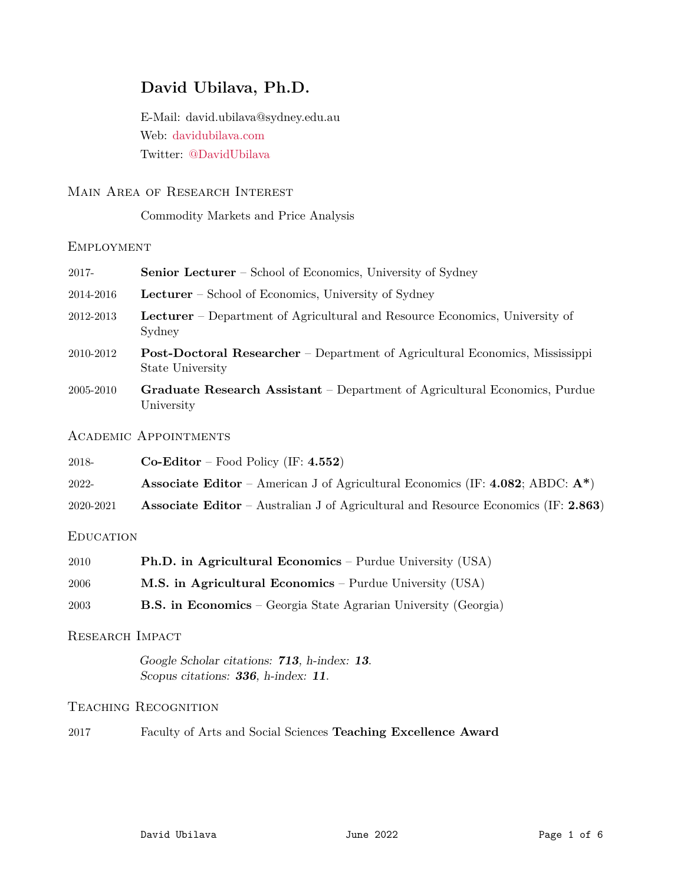# **David Ubilava, Ph.D.**

E-Mail: david.ubilava@sydney.edu.au Web: [davidubilava.com](https://davidubilava.com) Twitter: [@DavidUbilava](https://twitter.com/DavidUbilava)

# Main Area of Research Interest

Commodity Markets and Price Analysis

## **EMPLOYMENT**

| 2017-     | <b>Senior Lecturer</b> – School of Economics, University of Sydney                                      |
|-----------|---------------------------------------------------------------------------------------------------------|
| 2014-2016 | <b>Lecturer</b> – School of Economics, University of Sydney                                             |
| 2012-2013 | <b>Lecturer</b> – Department of Agricultural and Resource Economics, University of<br>Sydney            |
| 2010-2012 | <b>Post-Doctoral Researcher</b> – Department of Agricultural Economics, Mississippi<br>State University |
| 2005-2010 | Graduate Research Assistant – Department of Agricultural Economics, Purdue<br>University                |
|           | <b>ACADEMIC APPOINTMENTS</b>                                                                            |
| 2018-     | $Co-Editor - Food Policy (IF: 4.552)$                                                                   |
| 2022-     | <b>Associate Editor</b> – American J of Agricultural Economics (IF: <b>4.082</b> ; ABDC: $A^*$ )        |
| 2020-2021 | <b>Associate Editor</b> – Australian J of Agricultural and Resource Economics (IF: 2.863)               |

# **EDUCATION**

| 2010 | <b>Ph.D.</b> in Agricultural Economics – Purdue University (USA)       |
|------|------------------------------------------------------------------------|
| 2006 | M.S. in Agricultural Economics – Purdue University (USA)               |
| 2003 | <b>B.S.</b> in Economics – Georgia State Agrarian University (Georgia) |

# Research Impact

Google Scholar citations: **713**, h-index: **13**. Scopus citations: **336**, h-index: **11**.

## Teaching Recognition

2017 Faculty of Arts and Social Sciences **Teaching Excellence Award**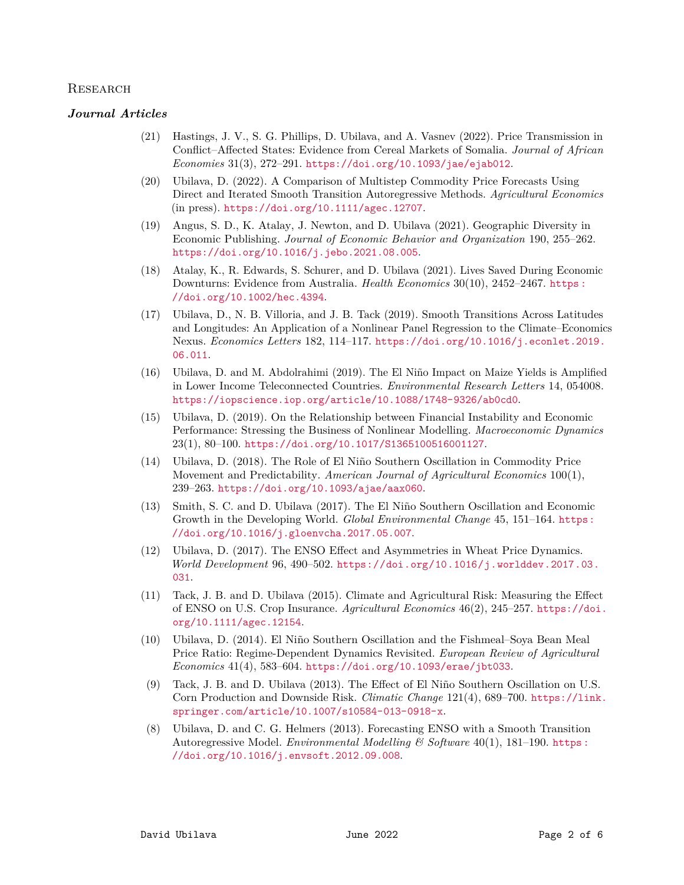#### **RESEARCH**

#### *Journal Articles*

- (21) Hastings, J. V., S. G. Phillips, D. Ubilava, and A. Vasnev (2022). Price Transmission in Conflict–Affected States: Evidence from Cereal Markets of Somalia. *Journal of African Economies* 31(3), 272–291. <https://doi.org/10.1093/jae/ejab012>.
- (20) Ubilava, D. (2022). A Comparison of Multistep Commodity Price Forecasts Using Direct and Iterated Smooth Transition Autoregressive Methods. *Agricultural Economics* (in press). <https://doi.org/10.1111/agec.12707>.
- (19) Angus, S. D., K. Atalay, J. Newton, and D. Ubilava (2021). Geographic Diversity in Economic Publishing. *Journal of Economic Behavior and Organization* 190, 255–262. <https://doi.org/10.1016/j.jebo.2021.08.005>.
- (18) Atalay, K., R. Edwards, S. Schurer, and D. Ubilava (2021). Lives Saved During Economic Downturns: Evidence from Australia. *Health Economics* 30(10), 2452–2467. [https :](https://doi.org/10.1002/hec.4394) [//doi.org/10.1002/hec.4394](https://doi.org/10.1002/hec.4394).
- (17) Ubilava, D., N. B. Villoria, and J. B. Tack (2019). Smooth Transitions Across Latitudes and Longitudes: An Application of a Nonlinear Panel Regression to the Climate–Economics Nexus. *Economics Letters* 182, 114–117. [https://doi.org/10.1016/j.econlet.2019.](https://doi.org/10.1016/j.econlet.2019.06.011) [06.011](https://doi.org/10.1016/j.econlet.2019.06.011).
- (16) Ubilava, D. and M. Abdolrahimi (2019). The El Ni˜no Impact on Maize Yields is Amplified in Lower Income Teleconnected Countries. *Environmental Research Letters* 14, 054008. <https://iopscience.iop.org/article/10.1088/1748-9326/ab0cd0>.
- (15) Ubilava, D. (2019). On the Relationship between Financial Instability and Economic Performance: Stressing the Business of Nonlinear Modelling. *Macroeconomic Dynamics* 23(1), 80–100. <https://doi.org/10.1017/S1365100516001127>.
- (14) Ubilava, D. (2018). The Role of El Ni˜no Southern Oscillation in Commodity Price Movement and Predictability. *American Journal of Agricultural Economics* 100(1), 239–263. <https://doi.org/10.1093/ajae/aax060>.
- (13) Smith, S. C. and D. Ubilava (2017). The El Ni˜no Southern Oscillation and Economic Growth in the Developing World. *Global Environmental Change* 45, 151–164. [https:](https://doi.org/10.1016/j.gloenvcha.2017.05.007) [//doi.org/10.1016/j.gloenvcha.2017.05.007](https://doi.org/10.1016/j.gloenvcha.2017.05.007).
- (12) Ubilava, D. (2017). The ENSO Effect and Asymmetries in Wheat Price Dynamics. *World Development* 96, 490–502. [https://doi.org/10.1016/j.worlddev.2017.03.](https://doi.org/10.1016/j.worlddev.2017.03.031) [031](https://doi.org/10.1016/j.worlddev.2017.03.031).
- (11) Tack, J. B. and D. Ubilava (2015). Climate and Agricultural Risk: Measuring the Effect of ENSO on U.S. Crop Insurance. *Agricultural Economics* 46(2), 245–257. [https://doi.](https://doi.org/10.1111/agec.12154) [org/10.1111/agec.12154](https://doi.org/10.1111/agec.12154).
- (10) Ubilava, D. (2014). El Niño Southern Oscillation and the Fishmeal–Soya Bean Meal Price Ratio: Regime-Dependent Dynamics Revisited. *European Review of Agricultural Economics* 41(4), 583–604. <https://doi.org/10.1093/erae/jbt033>.
- (9) Tack, J. B. and D. Ubilava (2013). The Effect of El Niño Southern Oscillation on U.S. Corn Production and Downside Risk. *Climatic Change* 121(4), 689–700. [https://link.](https://link.springer.com/article/10.1007/s10584-013-0918-x) [springer.com/article/10.1007/s10584-013-0918-x](https://link.springer.com/article/10.1007/s10584-013-0918-x).
- (8) Ubilava, D. and C. G. Helmers (2013). Forecasting ENSO with a Smooth Transition Autoregressive Model. *Environmental Modelling & Software* 40(1), 181–190. [https :](https://doi.org/10.1016/j.envsoft.2012.09.008) [//doi.org/10.1016/j.envsoft.2012.09.008](https://doi.org/10.1016/j.envsoft.2012.09.008).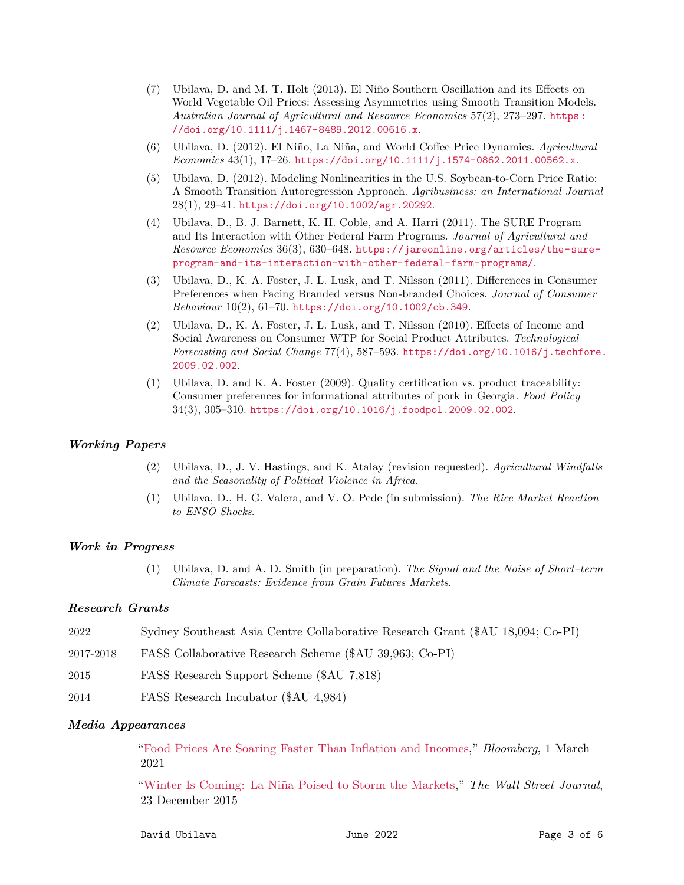- (7) Ubilava, D. and M. T. Holt (2013). El Ni˜no Southern Oscillation and its Effects on World Vegetable Oil Prices: Assessing Asymmetries using Smooth Transition Models. *Australian Journal of Agricultural and Resource Economics* 57(2), 273–297. [https :](https://doi.org/10.1111/j.1467-8489.2012.00616.x) [//doi.org/10.1111/j.1467-8489.2012.00616.x](https://doi.org/10.1111/j.1467-8489.2012.00616.x).
- (6) Ubilava, D. (2012). El Ni˜no, La Ni˜na, and World Coffee Price Dynamics. *Agricultural Economics* 43(1), 17–26. <https://doi.org/10.1111/j.1574-0862.2011.00562.x>.
- (5) Ubilava, D. (2012). Modeling Nonlinearities in the U.S. Soybean-to-Corn Price Ratio: A Smooth Transition Autoregression Approach. *Agribusiness: an International Journal* 28(1), 29–41. <https://doi.org/10.1002/agr.20292>.
- (4) Ubilava, D., B. J. Barnett, K. H. Coble, and A. Harri (2011). The SURE Program and Its Interaction with Other Federal Farm Programs. *Journal of Agricultural and Resource Economics* 36(3), 630–648. [https://jareonline.org/articles/the-sure](https://jareonline.org/articles/the-sure-program-and-its-interaction-with-other-federal-farm-programs/)[program-and-its-interaction-with-other-federal-farm-programs/](https://jareonline.org/articles/the-sure-program-and-its-interaction-with-other-federal-farm-programs/).
- (3) Ubilava, D., K. A. Foster, J. L. Lusk, and T. Nilsson (2011). Differences in Consumer Preferences when Facing Branded versus Non-branded Choices. *Journal of Consumer Behaviour* 10(2), 61–70. <https://doi.org/10.1002/cb.349>.
- (2) Ubilava, D., K. A. Foster, J. L. Lusk, and T. Nilsson (2010). Effects of Income and Social Awareness on Consumer WTP for Social Product Attributes. *Technological Forecasting and Social Change* 77(4), 587–593. [https://doi.org/10.1016/j.techfore.](https://doi.org/10.1016/j.techfore.2009.02.002) [2009.02.002](https://doi.org/10.1016/j.techfore.2009.02.002).
- (1) Ubilava, D. and K. A. Foster (2009). Quality certification vs. product traceability: Consumer preferences for informational attributes of pork in Georgia. *Food Policy* 34(3), 305–310. <https://doi.org/10.1016/j.foodpol.2009.02.002>.

#### *Working Papers*

- (2) Ubilava, D., J. V. Hastings, and K. Atalay (revision requested). *Agricultural Windfalls and the Seasonality of Political Violence in Africa*.
- (1) Ubilava, D., H. G. Valera, and V. O. Pede (in submission). *The Rice Market Reaction to ENSO Shocks*.

#### *Work in Progress*

(1) Ubilava, D. and A. D. Smith (in preparation). *The Signal and the Noise of Short–term Climate Forecasts: Evidence from Grain Futures Markets*.

#### *Research Grants*

| 2022      | Sydney Southeast Asia Centre Collaborative Research Grant (\$AU 18,094; Co-PI) |
|-----------|--------------------------------------------------------------------------------|
| 2017-2018 | FASS Collaborative Research Scheme (\$AU 39,963; Co-PI)                        |
| 2015      | FASS Research Support Scheme (\$AU 7,818)                                      |
| 2014      | FASS Research Incubator (\$AU 4,984)                                           |

#### *Media Appearances*

["Food Prices Are Soaring Faster Than Inflation and Incomes,](https://www.bloomberg.com/news/articles/2021-03-01/inflation-2021-malnutrition-and-hunger-fears-rise-as-food-prices-soar-globally)" *Bloomberg*, 1 March 2021

["Winter Is Coming: La Ni˜na Poised to Storm the Markets,](https://www.wsj.com/articles/winter-is-coming-la-nina-poised-to-storm-the-markets-1450850704)" *The Wall Street Journal*, 23 December 2015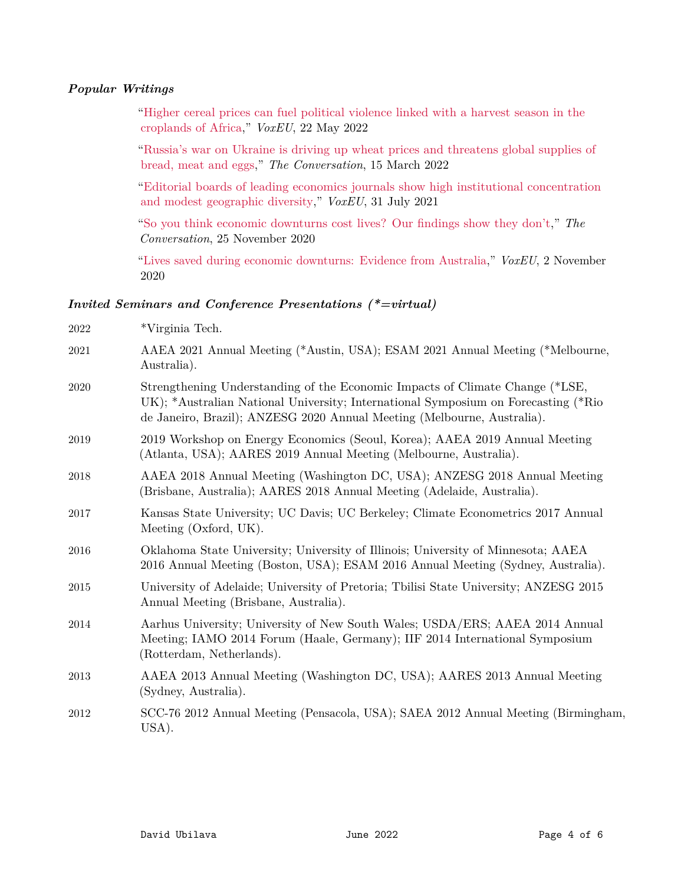## *Popular Writings*

["Higher cereal prices can fuel political violence linked with a harvest season in the](https://voxeu.org/article/rising-cereal-prices-and-political-violence-croplands-africa) [croplands of Africa,](https://voxeu.org/article/rising-cereal-prices-and-political-violence-croplands-africa)" *VoxEU*, 22 May 2022

["Russia's war on Ukraine is driving up wheat prices and threatens global supplies of](https://theconversation.com/russias-war-on-ukraine-is-driving-up-wheat-prices-and-threatens-global-supplies-of-bread-meat-and-eggs-178879) [bread, meat and eggs,](https://theconversation.com/russias-war-on-ukraine-is-driving-up-wheat-prices-and-threatens-global-supplies-of-bread-meat-and-eggs-178879)" *The Conversation*, 15 March 2022

["Editorial boards of leading economics journals show high institutional concentration](https://voxeu.org/article/geographic-diversity-economics-journals-editorial-boards) [and modest geographic diversity,](https://voxeu.org/article/geographic-diversity-economics-journals-editorial-boards)" *VoxEU*, 31 July 2021

["So you think economic downturns cost lives? Our findings show they don't,](https://theconversation.com/so-you-think-economic-downturns-cost-lives-our-findings-show-they-dont-149711)" *The Conversation*, 25 November 2020

["Lives saved during economic downturns: Evidence from Australia,](https://voxeu.org/article/lives-saved-during-economic-downturns)" *VoxEU*, 2 November 2020

### *Invited Seminars and Conference Presentations (\*=virtual)*

| 2022 | *Virginia Tech.                                                                                                                                                                                                                               |
|------|-----------------------------------------------------------------------------------------------------------------------------------------------------------------------------------------------------------------------------------------------|
| 2021 | AAEA 2021 Annual Meeting (*Austin, USA); ESAM 2021 Annual Meeting (*Melbourne,<br>Australia).                                                                                                                                                 |
| 2020 | Strengthening Understanding of the Economic Impacts of Climate Change (*LSE,<br>UK); *Australian National University; International Symposium on Forecasting (*Rio<br>de Janeiro, Brazil); ANZESG 2020 Annual Meeting (Melbourne, Australia). |
| 2019 | 2019 Workshop on Energy Economics (Seoul, Korea); AAEA 2019 Annual Meeting<br>(Atlanta, USA); AARES 2019 Annual Meeting (Melbourne, Australia).                                                                                               |
| 2018 | AAEA 2018 Annual Meeting (Washington DC, USA); ANZESG 2018 Annual Meeting<br>(Brisbane, Australia); AARES 2018 Annual Meeting (Adelaide, Australia).                                                                                          |
| 2017 | Kansas State University; UC Davis; UC Berkeley; Climate Econometrics 2017 Annual<br>Meeting (Oxford, UK).                                                                                                                                     |
| 2016 | Oklahoma State University; University of Illinois; University of Minnesota; AAEA<br>2016 Annual Meeting (Boston, USA); ESAM 2016 Annual Meeting (Sydney, Australia).                                                                          |
| 2015 | University of Adelaide; University of Pretoria; Tbilisi State University; ANZESG 2015<br>Annual Meeting (Brisbane, Australia).                                                                                                                |
| 2014 | Aarhus University; University of New South Wales; USDA/ERS; AAEA 2014 Annual<br>Meeting; IAMO 2014 Forum (Haale, Germany); IIF 2014 International Symposium<br>(Rotterdam, Netherlands).                                                      |
| 2013 | AAEA 2013 Annual Meeting (Washington DC, USA); AARES 2013 Annual Meeting<br>(Sydney, Australia).                                                                                                                                              |
| 2012 | SCC-76 2012 Annual Meeting (Pensacola, USA); SAEA 2012 Annual Meeting (Birmingham,<br>USA).                                                                                                                                                   |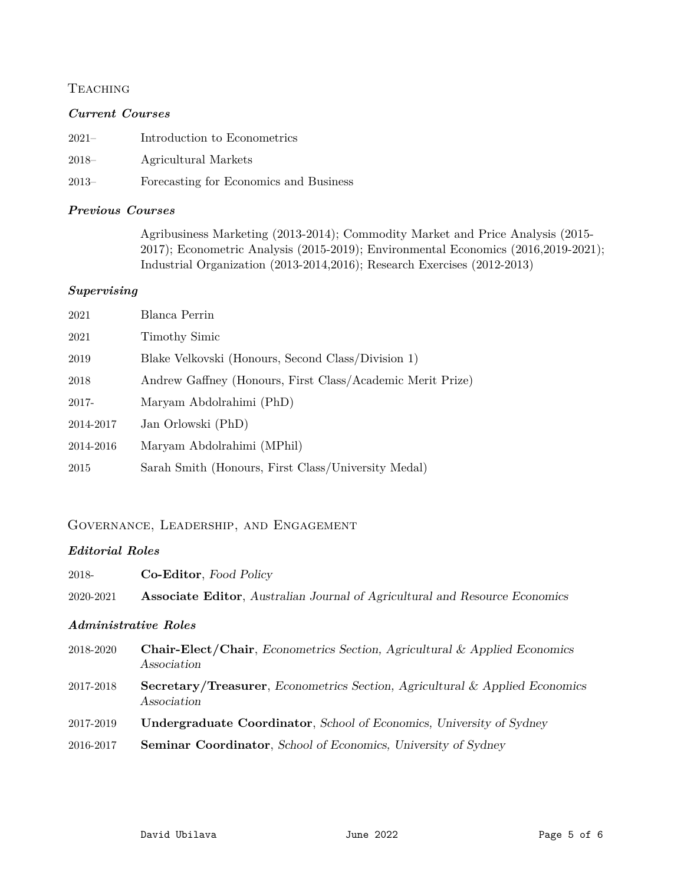# **TEACHING**

## *Current Courses*

- 2021– Introduction to Econometrics
- 2018– Agricultural Markets
- 2013– Forecasting for Economics and Business

## *Previous Courses*

Agribusiness Marketing (2013-2014); Commodity Market and Price Analysis (2015- 2017); Econometric Analysis (2015-2019); Environmental Economics (2016,2019-2021); Industrial Organization (2013-2014,2016); Research Exercises (2012-2013)

## *Supervising*

| 2021      | Blanca Perrin                                              |
|-----------|------------------------------------------------------------|
| 2021      | Timothy Simic                                              |
| 2019      | Blake Velkovski (Honours, Second Class/Division 1)         |
| 2018      | Andrew Gaffney (Honours, First Class/Academic Merit Prize) |
| 2017-     | Maryam Abdolrahimi (PhD)                                   |
| 2014-2017 | Jan Orlowski (PhD)                                         |
| 2014-2016 | Maryam Abdolrahimi (MPhil)                                 |
| 2015      | Sarah Smith (Honours, First Class/University Medal)        |

# Governance, Leadership, and Engagement

## *Editorial Roles*

| 2018-     | <b>Co-Editor, Food Policy</b>                                                                         |
|-----------|-------------------------------------------------------------------------------------------------------|
| 2020-2021 | <b>Associate Editor, Australian Journal of Agricultural and Resource Economics</b>                    |
|           | <i><b>Administrative Roles</b></i>                                                                    |
| 2018-2020 | <b>Chair-Elect/Chair,</b> Econometrics Section, Agricultural & Applied Economics<br>Association       |
| 2017-2018 | <b>Secretary/Treasurer, Econometrics Section, Agricultural &amp; Applied Economics</b><br>Association |
| 2017-2019 | <b>Undergraduate Coordinator</b> , School of Economics, University of Sydney                          |
| 2016-2017 | <b>Seminar Coordinator, School of Economics, University of Sydney</b>                                 |